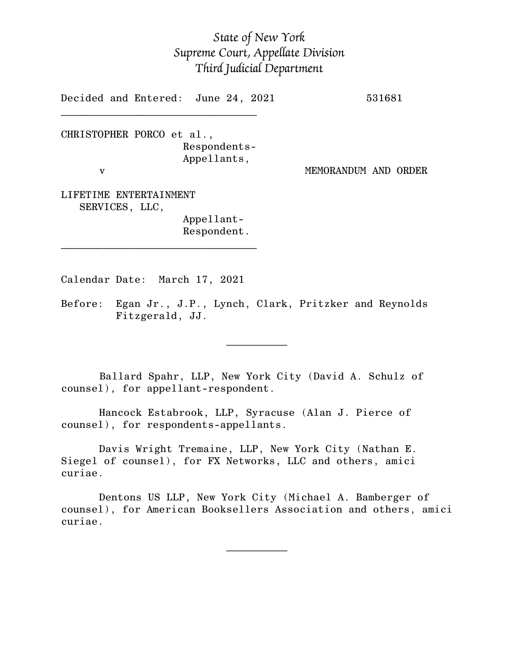## *State of New York Supreme Court, Appellate Division Third Judicial Department*

Decided and Entered: June 24, 2021 531681

CHRISTOPHER PORCO et al., Respondents-Appellants, v MEMORANDUM AND ORDER

 $\mathcal{L}_\text{max}$ 

LIFETIME ENTERTAINMENT SERVICES, LLC,

Appellant-Respondent.

Calendar Date: March 17, 2021

 $\mathcal{L}_\text{max}$  and  $\mathcal{L}_\text{max}$  are the set of  $\mathcal{L}_\text{max}$  . The set of  $\mathcal{L}_\text{max}$ 

 $\mathcal{L}_\text{max}$  and  $\mathcal{L}_\text{max}$  are the set of  $\mathcal{L}_\text{max}$  . The set of  $\mathcal{L}_\text{max}$ 

 $\mathcal{L}_\text{max}$ 

Before: Egan Jr., J.P., Lynch, Clark, Pritzker and Reynolds Fitzgerald, JJ.

Ballard Spahr, LLP, New York City (David A. Schulz of counsel), for appellant-respondent.

Hancock Estabrook, LLP, Syracuse (Alan J. Pierce of counsel), for respondents-appellants.

Davis Wright Tremaine, LLP, New York City (Nathan E. Siegel of counsel), for FX Networks, LLC and others, amici curiae.

Dentons US LLP, New York City (Michael A. Bamberger of counsel), for American Booksellers Association and others, amici curiae.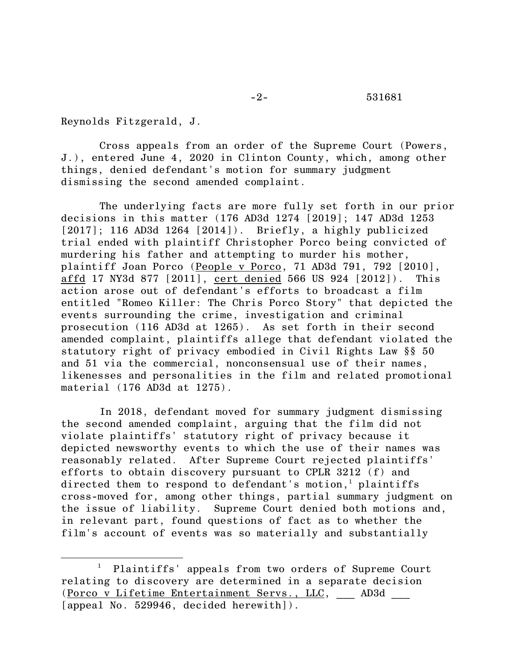Reynolds Fitzgerald, J.

Cross appeals from an order of the Supreme Court (Powers, J.), entered June 4, 2020 in Clinton County, which, among other things, denied defendant's motion for summary judgment dismissing the second amended complaint.

The underlying facts are more fully set forth in our prior decisions in this matter (176 AD3d 1274 [2019]; 147 AD3d 1253 [2017]; 116 AD3d 1264 [2014]). Briefly, a highly publicized trial ended with plaintiff Christopher Porco being convicted of murdering his father and attempting to murder his mother, plaintiff Joan Porco (People v Porco, 71 AD3d 791, 792 [2010], affd 17 NY3d 877 [2011], cert denied 566 US 924 [2012]). This action arose out of defendant's efforts to broadcast a film entitled "Romeo Killer: The Chris Porco Story" that depicted the events surrounding the crime, investigation and criminal prosecution (116 AD3d at 1265). As set forth in their second amended complaint, plaintiffs allege that defendant violated the statutory right of privacy embodied in Civil Rights Law §§ 50 and 51 via the commercial, nonconsensual use of their names, likenesses and personalities in the film and related promotional material (176 AD3d at 1275).

In 2018, defendant moved for summary judgment dismissing the second amended complaint, arguing that the film did not violate plaintiffs' statutory right of privacy because it depicted newsworthy events to which the use of their names was reasonably related. After Supreme Court rejected plaintiffs' efforts to obtain discovery pursuant to CPLR 3212 (f) and directed them to respond to defendant's motion, <sup>1</sup> plaintiffs cross-moved for, among other things, partial summary judgment on the issue of liability. Supreme Court denied both motions and, in relevant part, found questions of fact as to whether the film's account of events was so materially and substantially

<sup>&</sup>lt;sup>1</sup> Plaintiffs' appeals from two orders of Supreme Court relating to discovery are determined in a separate decision (Porco v Lifetime Entertainment Servs., LLC, \_\_\_ AD3d \_\_\_ [appeal No. 529946, decided herewith]).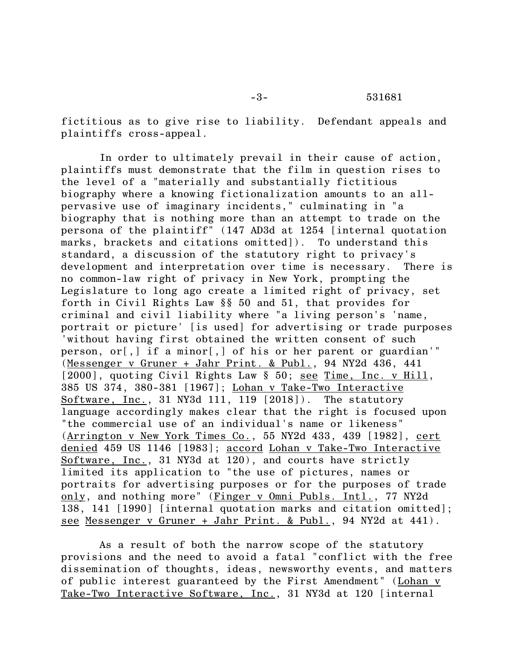fictitious as to give rise to liability. Defendant appeals and plaintiffs cross-appeal.

In order to ultimately prevail in their cause of action, plaintiffs must demonstrate that the film in question rises to the level of a "materially and substantially fictitious biography where a knowing fictionalization amounts to an allpervasive use of imaginary incidents," culminating in "a biography that is nothing more than an attempt to trade on the persona of the plaintiff" (147 AD3d at 1254 [internal quotation marks, brackets and citations omitted]). To understand this standard, a discussion of the statutory right to privacy's development and interpretation over time is necessary. There is no common-law right of privacy in New York, prompting the Legislature to long ago create a limited right of privacy, set forth in Civil Rights Law §§ 50 and 51, that provides for criminal and civil liability where "a living person's 'name, portrait or picture' [is used] for advertising or trade purposes 'without having first obtained the written consent of such person, or[,] if a minor[,] of his or her parent or guardian'" (Messenger v Gruner + Jahr Print. & Publ., 94 NY2d 436, 441 [2000], quoting Civil Rights Law § 50; see Time, Inc. v Hill, 385 US 374, 380-381 [1967]; Lohan v Take-Two Interactive Software, Inc., 31 NY3d 111, 119 [2018]). The statutory language accordingly makes clear that the right is focused upon "the commercial use of an individual's name or likeness" (Arrington v New York Times Co., 55 NY2d 433, 439 [1982], cert denied 459 US 1146 [1983]; accord Lohan v Take-Two Interactive Software, Inc., 31 NY3d at 120), and courts have strictly limited its application to "the use of pictures, names or portraits for advertising purposes or for the purposes of trade only, and nothing more" (Finger v Omni Publs. Intl., 77 NY2d 138, 141 [1990] [internal quotation marks and citation omitted]; see Messenger v Gruner + Jahr Print. & Publ., 94 NY2d at 441).

As a result of both the narrow scope of the statutory provisions and the need to avoid a fatal "conflict with the free dissemination of thoughts, ideas, newsworthy events, and matters of public interest guaranteed by the First Amendment" (Lohan v Take-Two Interactive Software, Inc., 31 NY3d at 120 [internal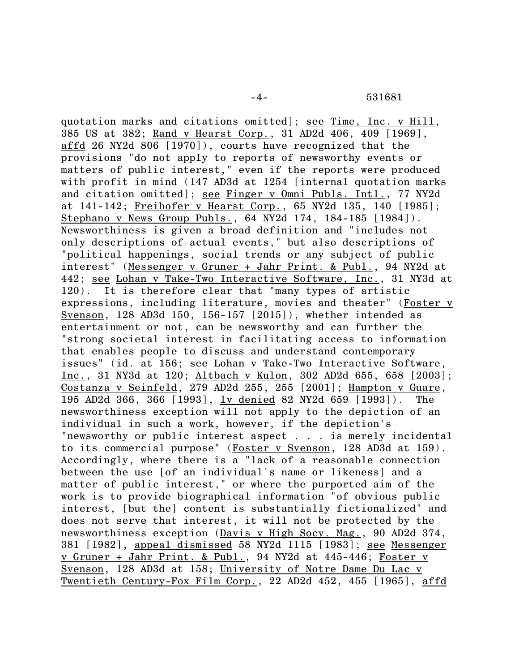quotation marks and citations omitted]; see Time, Inc. v Hill, 385 US at 382; Rand v Hearst Corp., 31 AD2d 406, 409 [1969], affd 26 NY2d 806 [1970]), courts have recognized that the provisions "do not apply to reports of newsworthy events or matters of public interest," even if the reports were produced with profit in mind (147 AD3d at 1254 [internal quotation marks and citation omitted]; see Finger v Omni Publs. Intl., 77 NY2d at 141-142; Freihofer v Hearst Corp., 65 NY2d 135, 140 [1985]; Stephano v News Group Publs., 64 NY2d 174, 184-185 [1984]). Newsworthiness is given a broad definition and "includes not only descriptions of actual events," but also descriptions of "political happenings, social trends or any subject of public interest" (Messenger v Gruner + Jahr Print. & Publ., 94 NY2d at 442; see Lohan v Take-Two Interactive Software, Inc., 31 NY3d at 120). It is therefore clear that "many types of artistic expressions, including literature, movies and theater" (Foster v Svenson, 128 AD3d 150, 156-157 [2015]), whether intended as entertainment or not, can be newsworthy and can further the "strong societal interest in facilitating access to information that enables people to discuss and understand contemporary issues" (id. at 156; see Lohan v Take-Two Interactive Software, Inc., 31 NY3d at 120; Altbach v Kulon, 302 AD2d 655, 658 [2003]; Costanza v Seinfeld, 279 AD2d 255, 255 [2001]; Hampton v Guare, 195 AD2d 366, 366 [1993], lv denied 82 NY2d 659 [1993]). The newsworthiness exception will not apply to the depiction of an individual in such a work, however, if the depiction's "newsworthy or public interest aspect . . . is merely incidental to its commercial purpose" (Foster v Svenson, 128 AD3d at 159). Accordingly, where there is a "lack of a reasonable connection between the use [of an individual's name or likeness] and a matter of public interest," or where the purported aim of the work is to provide biographical information "of obvious public interest, [but the] content is substantially fictionalized" and does not serve that interest, it will not be protected by the newsworthiness exception (Davis v High Socy. Mag., 90 AD2d 374, 381 [1982], appeal dismissed 58 NY2d 1115 [1983]; see Messenger v Gruner + Jahr Print. & Publ., 94 NY2d at 445-446; Foster v Svenson, 128 AD3d at 158; University of Notre Dame Du Lac v Twentieth Century-Fox Film Corp., 22 AD2d 452, 455 [1965], affd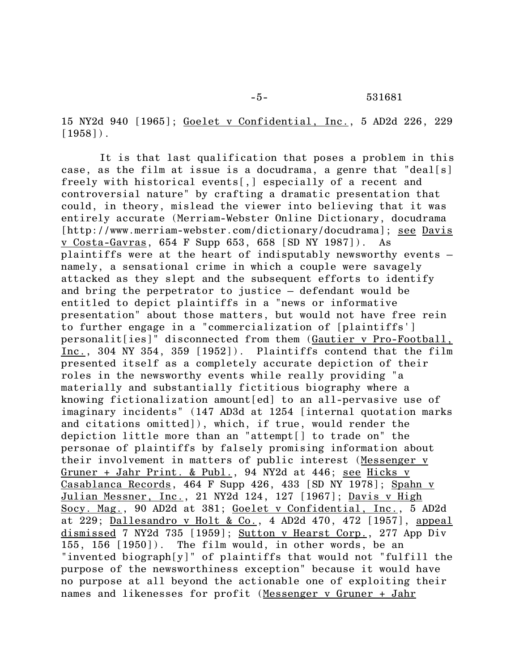15 NY2d 940 [1965]; Goelet v Confidential, Inc., 5 AD2d 226, 229  $[1958]$ .

It is that last qualification that poses a problem in this case, as the film at issue is a docudrama, a genre that "deal[s] freely with historical events[,] especially of a recent and controversial nature" by crafting a dramatic presentation that could, in theory, mislead the viewer into believing that it was entirely accurate (Merriam-Webster Online Dictionary, docudrama [http://www.merriam-webster.com/dictionary/docudrama]; see Davis v Costa-Gavras, 654 F Supp 653, 658 [SD NY 1987]). As plaintiffs were at the heart of indisputably newsworthy events – namely, a sensational crime in which a couple were savagely attacked as they slept and the subsequent efforts to identify and bring the perpetrator to justice – defendant would be entitled to depict plaintiffs in a "news or informative presentation" about those matters, but would not have free rein to further engage in a "commercialization of [plaintiffs'] personalit[ies]" disconnected from them (Gautier v Pro-Football, Inc., 304 NY 354, 359 [1952]). Plaintiffs contend that the film presented itself as a completely accurate depiction of their roles in the newsworthy events while really providing "a materially and substantially fictitious biography where a knowing fictionalization amount[ed] to an all-pervasive use of imaginary incidents" (147 AD3d at 1254 [internal quotation marks and citations omitted]), which, if true, would render the depiction little more than an "attempt[] to trade on" the personae of plaintiffs by falsely promising information about their involvement in matters of public interest (Messenger v Gruner + Jahr Print. & Publ., 94 NY2d at 446; see Hicks v Casablanca Records, 464 F Supp 426, 433 [SD NY 1978]; Spahn v Julian Messner, Inc., 21 NY2d 124, 127 [1967]; Davis v High Socy. Mag., 90 AD2d at 381; Goelet v Confidential, Inc., 5 AD2d at 229; Dallesandro v Holt & Co., 4 AD2d 470, 472 [1957], appeal dismissed 7 NY2d 735 [1959]; Sutton v Hearst Corp., 277 App Div 155, 156 [1950]). The film would, in other words, be an "invented biograph[y]" of plaintiffs that would not "fulfill the purpose of the newsworthiness exception" because it would have no purpose at all beyond the actionable one of exploiting their names and likenesses for profit (Messenger v Gruner + Jahr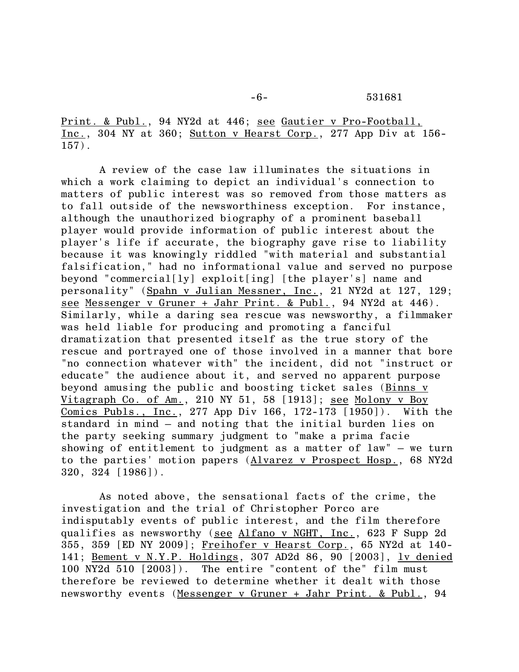Print. & Publ., 94 NY2d at 446; see Gautier v Pro-Football, Inc., 304 NY at 360; Sutton v Hearst Corp., 277 App Div at 156-  $157)$ .

A review of the case law illuminates the situations in which a work claiming to depict an individual's connection to matters of public interest was so removed from those matters as to fall outside of the newsworthiness exception. For instance, although the unauthorized biography of a prominent baseball player would provide information of public interest about the player's life if accurate, the biography gave rise to liability because it was knowingly riddled "with material and substantial falsification," had no informational value and served no purpose beyond "commercial[ly] exploit[ing] [the player's] name and personality" (Spahn v Julian Messner, Inc., 21 NY2d at 127, 129; see Messenger v Gruner + Jahr Print. & Publ., 94 NY2d at 446). Similarly, while a daring sea rescue was newsworthy, a filmmaker was held liable for producing and promoting a fanciful dramatization that presented itself as the true story of the rescue and portrayed one of those involved in a manner that bore "no connection whatever with" the incident, did not "instruct or educate" the audience about it, and served no apparent purpose beyond amusing the public and boosting ticket sales (Binns v Vitagraph Co. of Am., 210 NY 51, 58 [1913]; see Molony v Boy Comics Publs., Inc., 277 App Div 166, 172-173 [1950]). With the standard in mind – and noting that the initial burden lies on the party seeking summary judgment to "make a prima facie showing of entitlement to judgment as a matter of law" – we turn to the parties' motion papers (Alvarez v Prospect Hosp., 68 NY2d 320, 324 [1986]).

As noted above, the sensational facts of the crime, the investigation and the trial of Christopher Porco are indisputably events of public interest, and the film therefore qualifies as newsworthy (see Alfano v NGHT, Inc., 623 F Supp 2d 355, 359 [ED NY 2009]; Freihofer v Hearst Corp., 65 NY2d at 140- 141; Bement v N.Y.P. Holdings, 307 AD2d 86, 90 [2003], lv denied 100 NY2d 510 [2003]). The entire "content of the" film must therefore be reviewed to determine whether it dealt with those newsworthy events (Messenger v Gruner + Jahr Print. & Publ., 94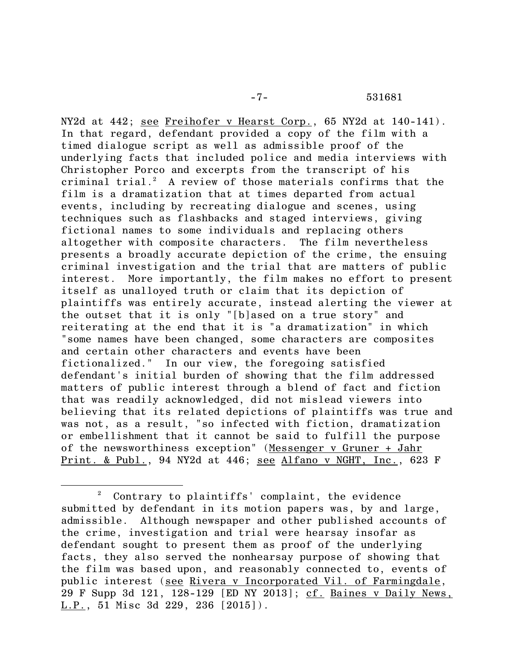NY2d at 442; see Freihofer v Hearst Corp., 65 NY2d at 140-141). In that regard, defendant provided a copy of the film with a timed dialogue script as well as admissible proof of the underlying facts that included police and media interviews with Christopher Porco and excerpts from the transcript of his criminal trial. <sup>2</sup> A review of those materials confirms that the film is a dramatization that at times departed from actual events, including by recreating dialogue and scenes, using techniques such as flashbacks and staged interviews, giving fictional names to some individuals and replacing others altogether with composite characters. The film nevertheless presents a broadly accurate depiction of the crime, the ensuing criminal investigation and the trial that are matters of public interest. More importantly, the film makes no effort to present itself as unalloyed truth or claim that its depiction of plaintiffs was entirely accurate, instead alerting the viewer at the outset that it is only "[b]ased on a true story" and reiterating at the end that it is "a dramatization" in which "some names have been changed, some characters are composites and certain other characters and events have been fictionalized." In our view, the foregoing satisfied defendant's initial burden of showing that the film addressed matters of public interest through a blend of fact and fiction that was readily acknowledged, did not mislead viewers into believing that its related depictions of plaintiffs was true and was not, as a result, "so infected with fiction, dramatization or embellishment that it cannot be said to fulfill the purpose of the newsworthiness exception" (Messenger v Gruner + Jahr Print. & Publ., 94 NY2d at 446; see Alfano v NGHT, Inc., 623 F

<sup>2</sup> Contrary to plaintiffs' complaint, the evidence submitted by defendant in its motion papers was, by and large, admissible. Although newspaper and other published accounts of the crime, investigation and trial were hearsay insofar as defendant sought to present them as proof of the underlying facts, they also served the nonhearsay purpose of showing that the film was based upon, and reasonably connected to, events of public interest (see Rivera v Incorporated Vil. of Farmingdale, 29 F Supp 3d 121, 128-129 [ED NY 2013]; cf. Baines v Daily News, L.P., 51 Misc 3d 229, 236 [2015]).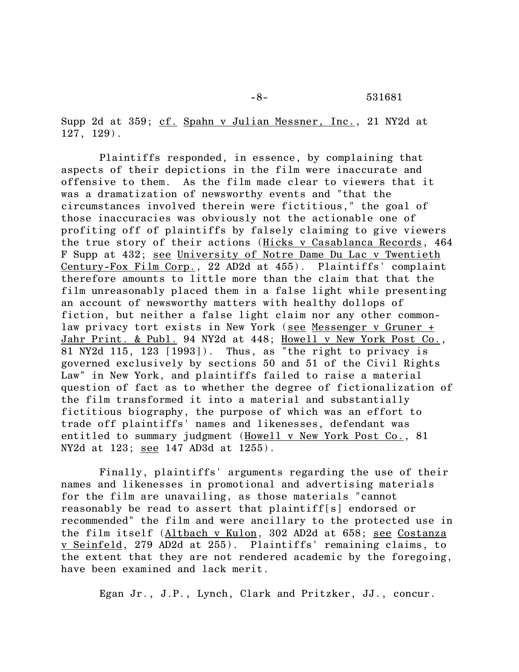-8- 531681

Supp 2d at 359; cf. Spahn v Julian Messner, Inc., 21 NY2d at 127, 129).

Plaintiffs responded, in essence, by complaining that aspects of their depictions in the film were inaccurate and offensive to them. As the film made clear to viewers that it was a dramatization of newsworthy events and "that the circumstances involved therein were fictitious," the goal of those inaccuracies was obviously not the actionable one of profiting off of plaintiffs by falsely claiming to give viewers the true story of their actions (Hicks v Casablanca Records, 464 F Supp at 432; see University of Notre Dame Du Lac v Twentieth Century-Fox Film Corp., 22 AD2d at 455). Plaintiffs' complaint therefore amounts to little more than the claim that that the film unreasonably placed them in a false light while presenting an account of newsworthy matters with healthy dollops of fiction, but neither a false light claim nor any other commonlaw privacy tort exists in New York (see Messenger v Gruner + Jahr Print. & Publ. 94 NY2d at 448; Howell v New York Post Co., 81 NY2d 115, 123 [1993]). Thus, as "the right to privacy is governed exclusively by sections 50 and 51 of the Civil Rights Law" in New York, and plaintiffs failed to raise a material question of fact as to whether the degree of fictionalization of the film transformed it into a material and substantially fictitious biography, the purpose of which was an effort to trade off plaintiffs' names and likenesses, defendant was entitled to summary judgment (Howell v New York Post Co., 81 NY2d at 123; see 147 AD3d at 1255).

Finally, plaintiffs' arguments regarding the use of their names and likenesses in promotional and advertising materials for the film are unavailing, as those materials "cannot reasonably be read to assert that plaintiff[s] endorsed or recommended" the film and were ancillary to the protected use in the film itself (Altbach v Kulon, 302 AD2d at 658; see Costanza v Seinfeld, 279 AD2d at 255). Plaintiffs' remaining claims, to the extent that they are not rendered academic by the foregoing, have been examined and lack merit.

Egan Jr., J.P., Lynch, Clark and Pritzker, JJ., concur.